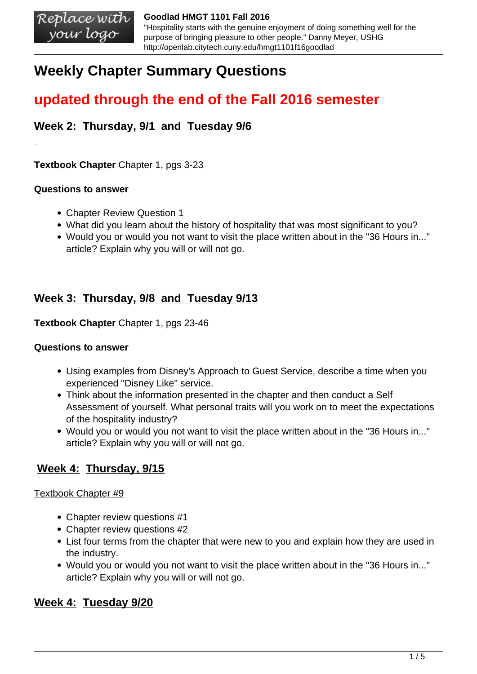# **Weekly Chapter Summary Questions**

# **updated through the end of the Fall 2016 semester**

## **Week 2: Thursday, 9/1 and Tuesday 9/6**

**Textbook Chapter** Chapter 1, pgs 3-23

### **Questions to answer**

- Chapter Review Question 1
- What did you learn about the history of hospitality that was most significant to you?
- Would you or would you not want to visit the place written about in the "36 Hours in..." article? Explain why you will or will not go.

## **Week 3: Thursday, 9/8 and Tuesday 9/13**

**Textbook Chapter** Chapter 1, pgs 23-46

### **Questions to answer**

- Using examples from Disney's Approach to Guest Service, describe a time when you experienced "Disney Like" service.
- Think about the information presented in the chapter and then conduct a Self Assessment of yourself. What personal traits will you work on to meet the expectations of the hospitality industry?
- Would you or would you not want to visit the place written about in the "36 Hours in..." article? Explain why you will or will not go.

## **Week 4: Thursday, 9/15**

### Textbook Chapter #9

- Chapter review questions #1
- Chapter review questions #2
- List four terms from the chapter that were new to you and explain how they are used in the industry.
- Would you or would you not want to visit the place written about in the "36 Hours in..." article? Explain why you will or will not go.

## **Week 4: Tuesday 9/20**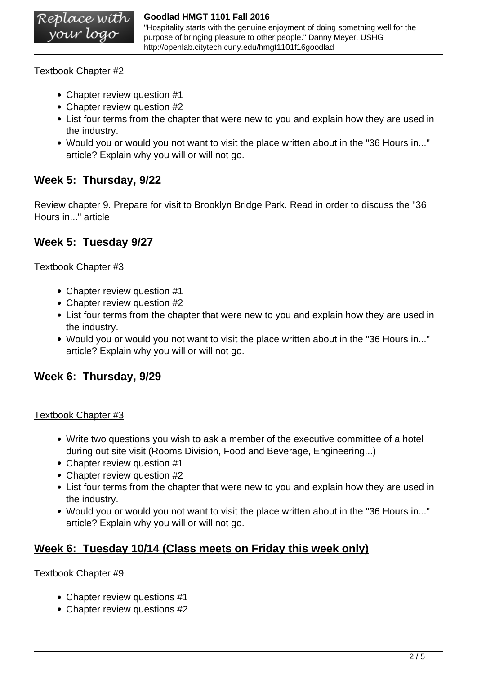"Hospitality starts with the genuine enjoyment of doing something well for the purpose of bringing pleasure to other people." Danny Meyer, USHG http://openlab.citytech.cuny.edu/hmgt1101f16goodlad

Textbook Chapter #2

- Chapter review question #1
- Chapter review question #2
- List four terms from the chapter that were new to you and explain how they are used in the industry.
- Would you or would you not want to visit the place written about in the "36 Hours in..." article? Explain why you will or will not go.

## **Week 5: Thursday, 9/22**

Review chapter 9. Prepare for visit to Brooklyn Bridge Park. Read in order to discuss the "36 Hours in..." article

## **Week 5: Tuesday 9/27**

### Textbook Chapter #3

- Chapter review question #1
- Chapter review question #2
- List four terms from the chapter that were new to you and explain how they are used in the industry.
- Would you or would you not want to visit the place written about in the "36 Hours in..." article? Explain why you will or will not go.

## **Week 6: Thursday, 9/29**

### Textbook Chapter #3

- Write two questions you wish to ask a member of the executive committee of a hotel during out site visit (Rooms Division, Food and Beverage, Engineering...)
- Chapter review question #1
- Chapter review question #2
- List four terms from the chapter that were new to you and explain how they are used in the industry.
- Would you or would you not want to visit the place written about in the "36 Hours in..." article? Explain why you will or will not go.

## **Week 6: Tuesday 10/14 (Class meets on Friday this week only)**

### Textbook Chapter #9

- Chapter review questions #1
- Chapter review questions #2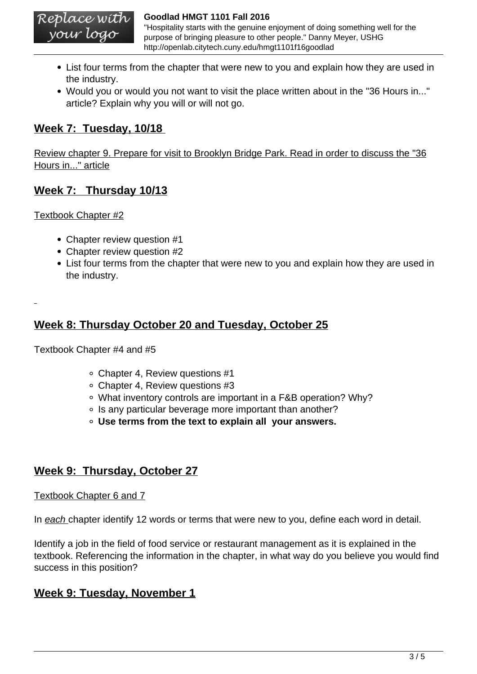"Hospitality starts with the genuine enjoyment of doing something well for the purpose of bringing pleasure to other people." Danny Meyer, USHG http://openlab.citytech.cuny.edu/hmgt1101f16goodlad

- List four terms from the chapter that were new to you and explain how they are used in the industry.
- Would you or would you not want to visit the place written about in the "36 Hours in..." article? Explain why you will or will not go.

## **Week 7: Tuesday, 10/18**

Review chapter 9. Prepare for visit to Brooklyn Bridge Park. Read in order to discuss the "36 Hours in..." article

## **Week 7: Thursday 10/13**

Textbook Chapter #2

- Chapter review question #1
- Chapter review question #2
- List four terms from the chapter that were new to you and explain how they are used in the industry.

## **Week 8: Thursday October 20 and Tuesday, October 25**

Textbook Chapter #4 and #5

- Chapter 4, Review questions #1
- Chapter 4, Review questions #3
- What inventory controls are important in a F&B operation? Why?
- Is any particular beverage more important than another?
- **Use terms from the text to explain all your answers.**

## **Week 9: Thursday, October 27**

#### Textbook Chapter 6 and 7

In each chapter identify 12 words or terms that were new to you, define each word in detail.

Identify a job in the field of food service or restaurant management as it is explained in the textbook. Referencing the information in the chapter, in what way do you believe you would find success in this position?

## **Week 9: Tuesday, November 1**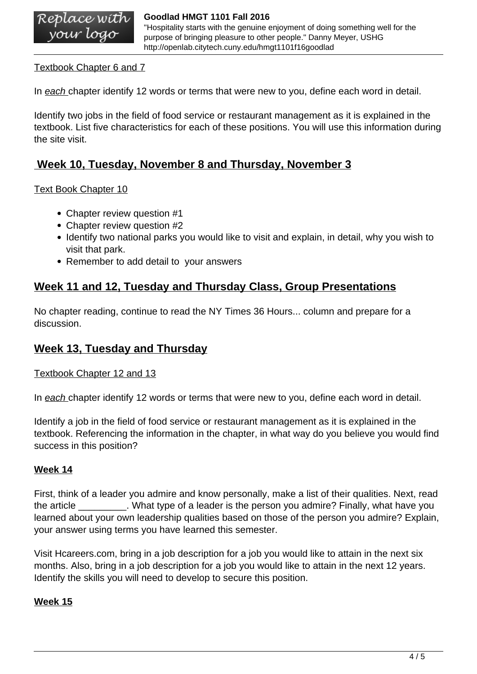"Hospitality starts with the genuine enjoyment of doing something well for the purpose of bringing pleasure to other people." Danny Meyer, USHG http://openlab.citytech.cuny.edu/hmgt1101f16goodlad

### Textbook Chapter 6 and 7

In each chapter identify 12 words or terms that were new to you, define each word in detail.

Identify two jobs in the field of food service or restaurant management as it is explained in the textbook. List five characteristics for each of these positions. You will use this information during the site visit.

## **Week 10, Tuesday, November 8 and Thursday, November 3**

#### Text Book Chapter 10

- Chapter review question #1
- Chapter review question #2
- Identify two national parks you would like to visit and explain, in detail, why you wish to visit that park.
- Remember to add detail to your answers

## **Week 11 and 12, Tuesday and Thursday Class, Group Presentations**

No chapter reading, continue to read the NY Times 36 Hours... column and prepare for a discussion.

## **Week 13, Tuesday and Thursday**

#### Textbook Chapter 12 and 13

In each chapter identify 12 words or terms that were new to you, define each word in detail.

Identify a job in the field of food service or restaurant management as it is explained in the textbook. Referencing the information in the chapter, in what way do you believe you would find success in this position?

### **Week 14**

First, think of a leader you admire and know personally, make a list of their qualities. Next, read the article \_\_\_\_\_\_\_\_\_. What type of a leader is the person you admire? Finally, what have you learned about your own leadership qualities based on those of the person you admire? Explain, your answer using terms you have learned this semester.

Visit Hcareers.com, bring in a job description for a job you would like to attain in the next six months. Also, bring in a job description for a job you would like to attain in the next 12 years. Identify the skills you will need to develop to secure this position.

### **Week 15**